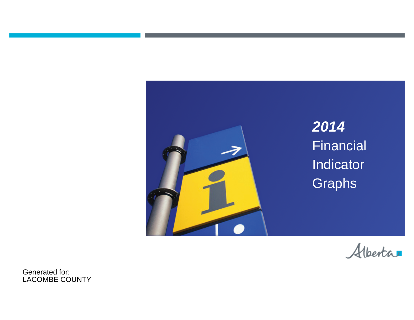



Generated for: LACOMBE COUNTY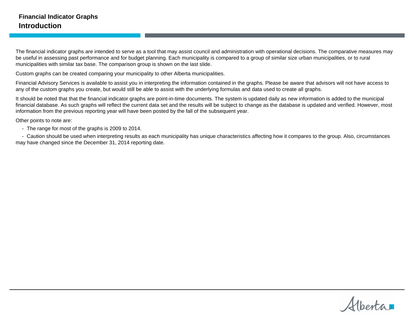The financial indicator graphs are intended to serve as a tool that may assist council and administration with operational decisions. The comparative measures may be useful in assessing past performance and for budget planning. Each municipality is compared to a group of similar size urban municipalities, or to rural municipalities with similar tax base. The comparison group is shown on the last slide.

Custom graphs can be created comparing your municipality to other Alberta municipalities.

Financial Advisory Services is available to assist you in interpreting the information contained in the graphs. Please be aware that advisors will not have access to any of the custom graphs you create, but would still be able to assist with the underlying formulas and data used to create all graphs.

It should be noted that that the financial indicator graphs are point-in-time documents. The system is updated daily as new information is added to the municipal financial database. As such graphs will reflect the current data set and the results will be subject to change as the database is updated and verified. However, most information from the previous reporting year will have been posted by the fall of the subsequent year.

Other points to note are:

- The range for most of the graphs is 2009 to 2014.

- Caution should be used when interpreting results as each municipality has unique characteristics affecting how it compares to the group. Also, circumstances may have changed since the December 31, 2014 reporting date.

Alberta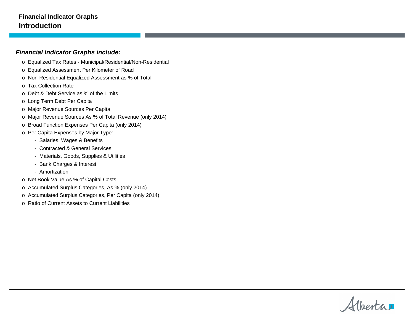#### **Financial Indicator Graphs Introduction**

#### **Financial Indicator Graphs include:**

- o Equalized Tax Rates Municipal/Residential/Non-Residential
- o Equalized Assessment Per Kilometer of Road
- o Non-Residential Equalized Assessment as % of Total
- o Tax Collection Rate
- o Debt & Debt Service as % of the Limits
- o Long Term Debt Per Capita
- o Major Revenue Sources Per Capita
- o Major Revenue Sources As % of Total Revenue (only 2014)
- o Broad Function Expenses Per Capita (only 2014)
- o Per Capita Expenses by Major Type:
	- Salaries, Wages & Benefits
	- Contracted & General Services
	- Materials, Goods, Supplies & Utilities
	- Bank Charges & Interest
	- Amortization
- o Net Book Value As % of Capital Costs
- o Accumulated Surplus Categories, As % (only 2014)
- o Accumulated Surplus Categories, Per Capita (only 2014)
- o Ratio of Current Assets to Current Liabilities

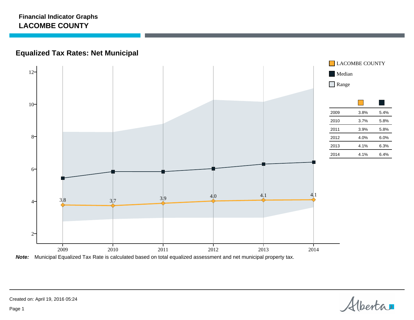# **Equalized Tax Rates: Net Municipal**



**Note:** Municipal Equalized Tax Rate is calculated based on total equalized assessment and net municipal property tax.

Alberta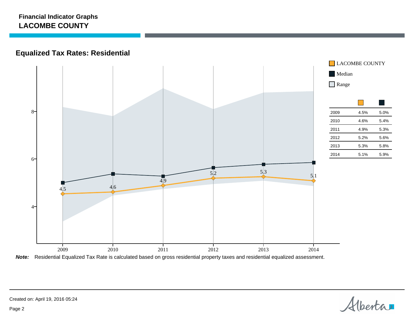# **Equalized Tax Rates: Residential**



**Note:** Residential Equalized Tax Rate is calculated based on gross residential property taxes and residential equalized assessment.

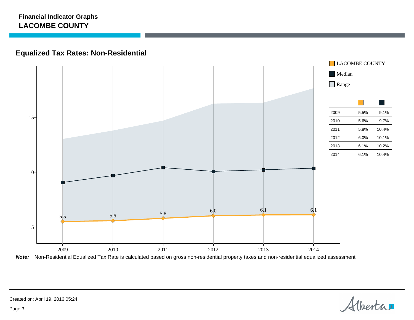# **Equalized Tax Rates: Non-Residential**



**Note:** Non-Residential Equalized Tax Rate is calculated based on gross non-residential property taxes and non-residential equalized assessment

Alberta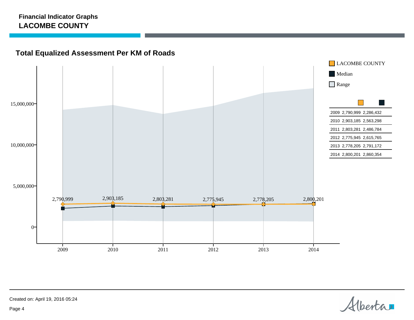# **Total Equalized Assessment Per KM of Roads**



Alberta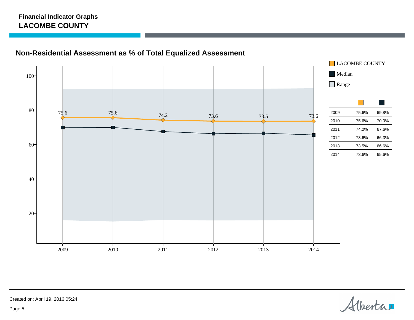# **Non-Residential Assessment as % of Total Equalized Assessment**



Alberta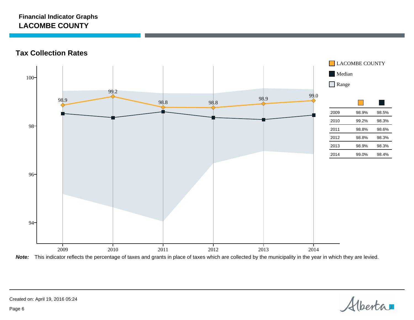**Tax Collection Rates**



**Note:** This indicator reflects the percentage of taxes and grants in place of taxes which are collected by the municipality in the year in which they are levied.

Alberta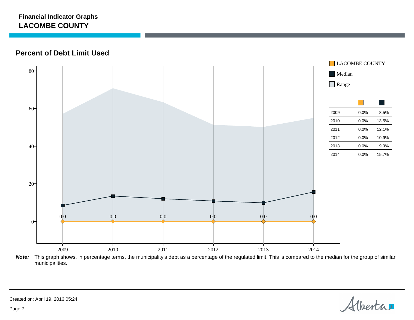**Percent of Debt Limit Used**



**Note:** This graph shows, in percentage terms, the municipality's debt as a percentage of the regulated limit. This is compared to the median for the group of similar municipalities.

Alberta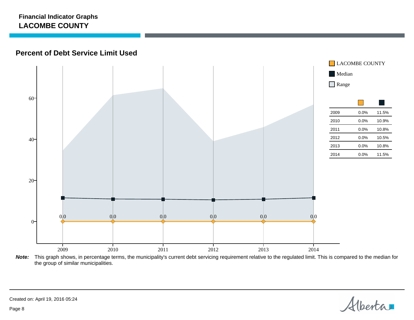### **Percent of Debt Service Limit Used**



**Note:** This graph shows, in percentage terms, the municipality's current debt servicing requirement relative to the regulated limit. This is compared to the median for the group of similar municipalities.

Alberta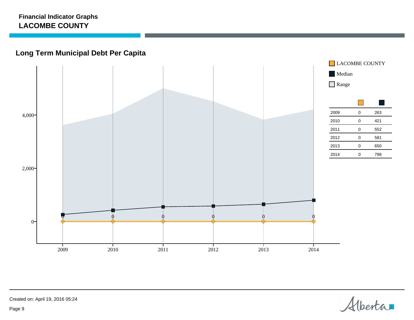# **Long Term Municipal Debt Per Capita**



Alberta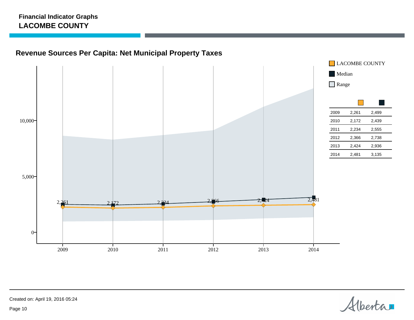# **Revenue Sources Per Capita: Net Municipal Property Taxes**



Alberta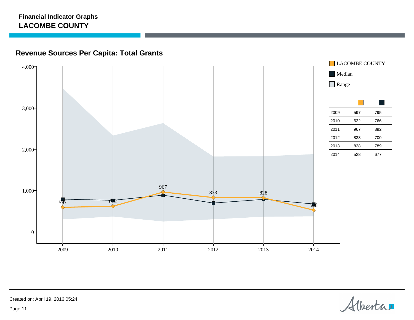# **Revenue Sources Per Capita: Total Grants**



Alberta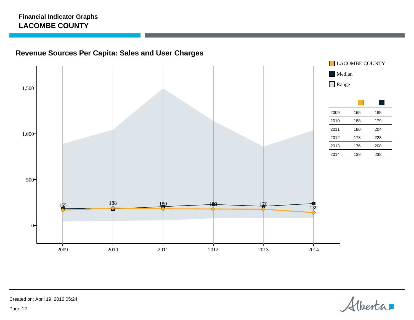# **Revenue Sources Per Capita: Sales and User Charges**



Alberta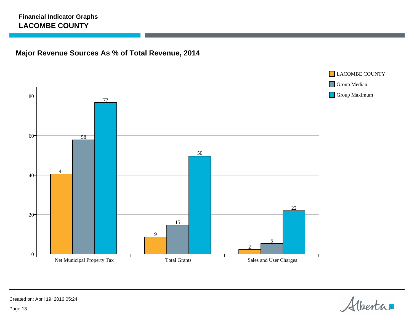# **Major Revenue Sources As % of Total Revenue, 2014**



Alberta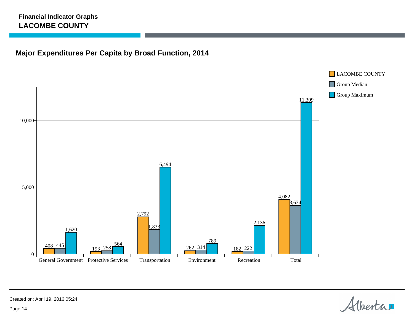# **Major Expenditures Per Capita by Broad Function, 2014**



Alberta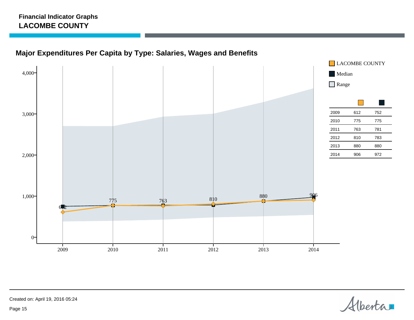# **Major Expenditures Per Capita by Type: Salaries, Wages and Benefits**



Alberta

Created on: April 19, 2016 05:24

Page 15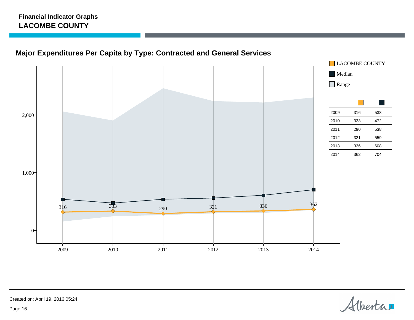# **Major Expenditures Per Capita by Type: Contracted and General Services**



Alberta

Created on: April 19, 2016 05:24

Page 16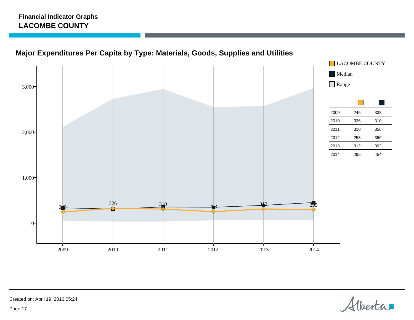



Alberta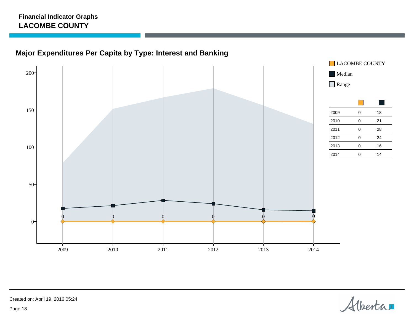



Alberta

Created on: April 19, 2016 05:24

Page 18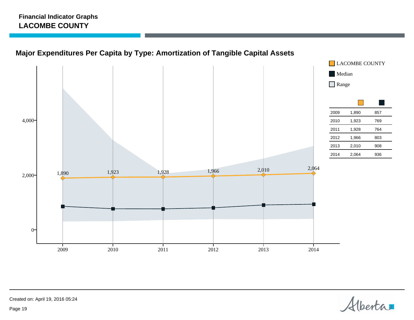# **Major Expenditures Per Capita by Type: Amortization of Tangible Capital Assets**



Alberta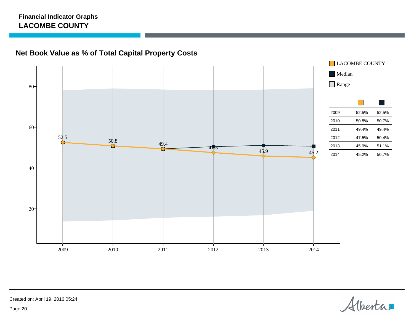



Alberta

Created on: April 19, 2016 05:24

Page 20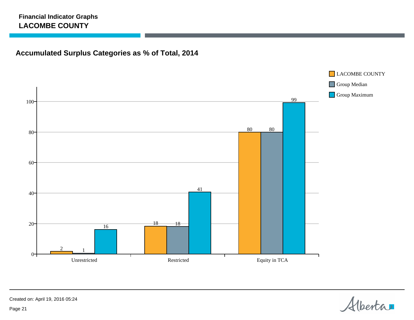# **Accumulated Surplus Categories as % of Total, 2014**



Alberta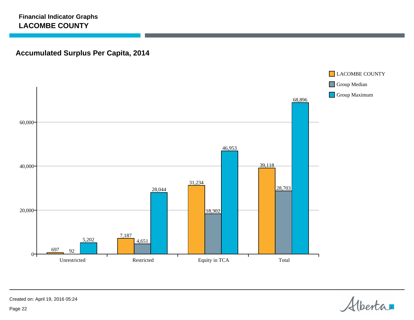# **Accumulated Surplus Per Capita, 2014**



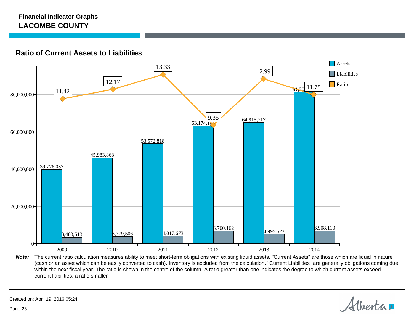#### **Ratio of Current Assets to Liabilities**



Note: The current ratio calculation measures ability to meet short-term obligations with existing liquid assets. "Current Assets" are those which are liquid in nature (cash or an asset which can be easily converted to cash). Inventory is excluded from the calculation. "Current Liabilities" are generally obligations coming due within the next fiscal year. The ratio is shown in the centre of the column. A ratio greater than one indicates the degree to which current assets exceed current liabilities; a ratio smaller

Alberta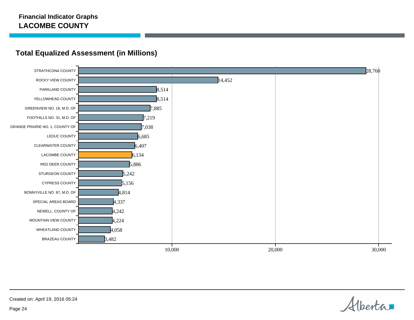

### **Total Equalized Assessment (in Millions)**

Alberta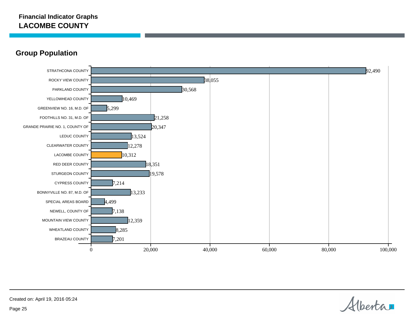### **Group Population**



Alberta